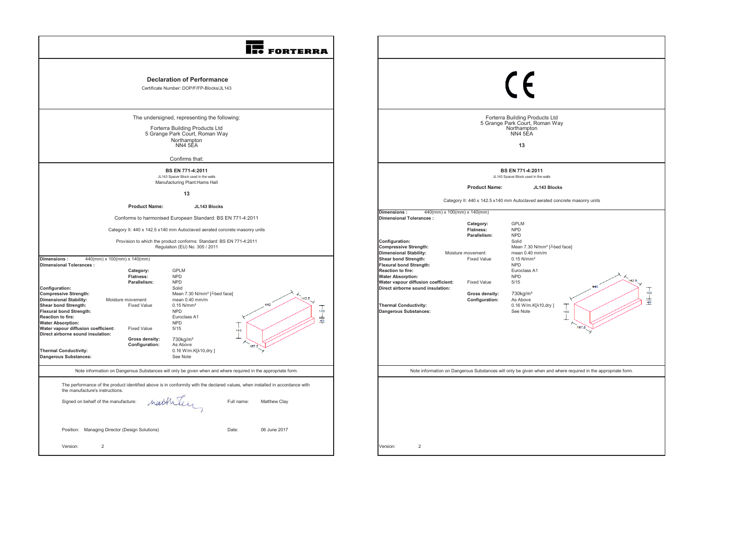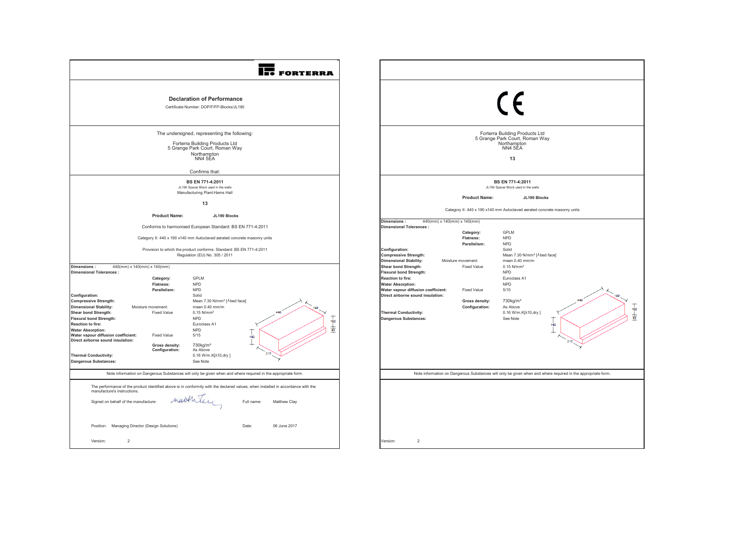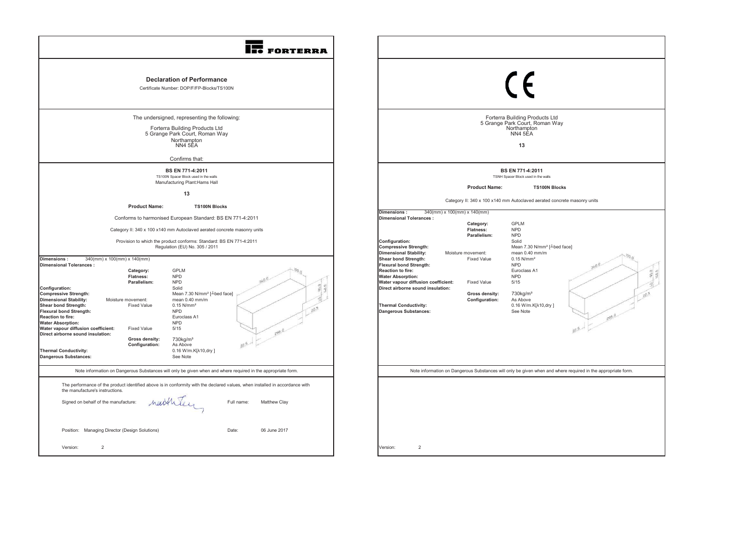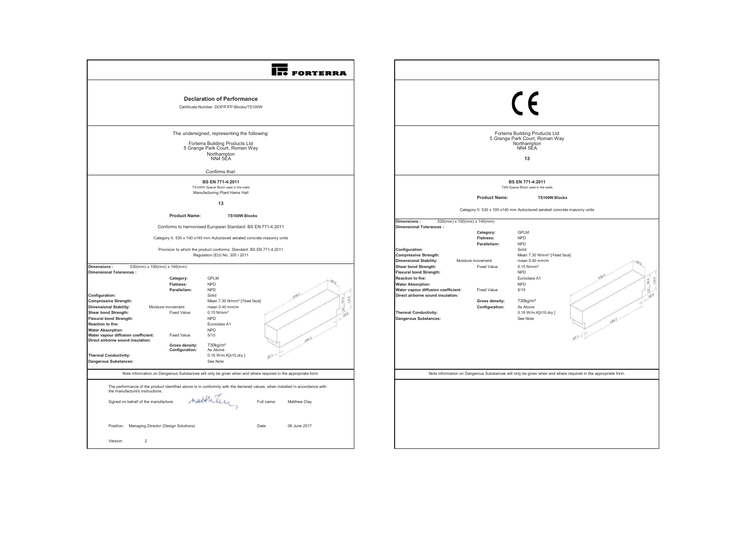| <b>FORTERRA</b>                                                                                                                                                                                                                                                                                                                                                                                                                                                                                                                                                                                                                                                                                                                                                                                                                                          |                                                                                                                                                                                                                                                                                                                                                                                                                                                                                                                                                                          |
|----------------------------------------------------------------------------------------------------------------------------------------------------------------------------------------------------------------------------------------------------------------------------------------------------------------------------------------------------------------------------------------------------------------------------------------------------------------------------------------------------------------------------------------------------------------------------------------------------------------------------------------------------------------------------------------------------------------------------------------------------------------------------------------------------------------------------------------------------------|--------------------------------------------------------------------------------------------------------------------------------------------------------------------------------------------------------------------------------------------------------------------------------------------------------------------------------------------------------------------------------------------------------------------------------------------------------------------------------------------------------------------------------------------------------------------------|
| <b>Declaration of Performance</b><br>Certificate Number: DOP/F/FP-Blocks/TS100W                                                                                                                                                                                                                                                                                                                                                                                                                                                                                                                                                                                                                                                                                                                                                                          | $\epsilon$                                                                                                                                                                                                                                                                                                                                                                                                                                                                                                                                                               |
| The undersigned, representing the following:<br>Forterra Building Products Ltd<br>5 Grange Park Court, Roman Way<br>Northampton<br>NN4 5EA                                                                                                                                                                                                                                                                                                                                                                                                                                                                                                                                                                                                                                                                                                               | Forterra Building Products Ltd<br>5 Grange Park Court, Roman Way<br>Northampton<br>NN4 5EA<br>13                                                                                                                                                                                                                                                                                                                                                                                                                                                                         |
| Confirms that:<br>BS EN 771-4:2011<br>TS100W Spacer Block used in the walls<br>Manufacturing Plant: Hams Hall<br>13                                                                                                                                                                                                                                                                                                                                                                                                                                                                                                                                                                                                                                                                                                                                      | BS EN 771-4:2011<br>TSN Spacer Block used in the walls<br><b>Product Name:</b><br><b>TS100W Blocks</b>                                                                                                                                                                                                                                                                                                                                                                                                                                                                   |
| <b>Product Name:</b><br><b>TS100W Blocks</b><br>Conforms to harmonised European Standard: BS EN 771-4:2011<br>Category II: 530 x 100 x140 mm Autoclaved aerated concrete masonry units<br>Provision to which the product conforms: Standard: BS EN 771-4:2011<br>Regulation (EU) No. 305 / 2011                                                                                                                                                                                                                                                                                                                                                                                                                                                                                                                                                          | Category II: 530 x 100 x140 mm Autoclaved aerated concrete masonry units<br>Dimensions:<br>530(mm) x 100(mm) x 140(mm)<br><b>Dimensional Tolerances:</b><br>GPLM<br>Category:<br>Flatness:<br><b>NPD</b><br><b>NPD</b><br>Parallelism:<br>Configuration:<br>Solid<br><b>Compressive Strength:</b><br>Mean 7.30 N/mm <sup>2</sup> [ <sup>1</sup> bed face]                                                                                                                                                                                                                |
| Dimensions:<br>530(mm) x 100(mm) x 140(mm)<br><b>Dimensional Tolerances:</b><br>GPLM<br>Category:<br><b>Flatness:</b><br><b>NPD</b><br>Parallelism:<br><b>NPD</b><br>Configuration:<br>Solid<br><b>Compressive Strength:</b><br>Mean 7.30 N/mm <sup>2</sup> [-bed face]<br><b>Dimensional Stability:</b><br>Moisture movement:<br>mean 0.40 mm/m<br>$0.15$ N/mm <sup>2</sup><br>Shear bond Strength:<br><b>Fixed Value</b><br><b>Flexural bond Strength:</b><br><b>NPD</b><br>Reaction to fire:<br>Euroclass A1<br><b>Water Absorption:</b><br><b>NPD</b><br>Water vapour diffusion coefficient:<br><b>Fixed Value</b><br>5/15<br>Direct airborne sound insulation:<br>730kg/m <sup>3</sup><br>Gross density:<br>Configuration:<br>As Above<br><b>Thermal Conductivity:</b><br>0.16 W/m.K[ $\lambda$ 10,dry]<br><b>Dangerous Substances:</b><br>See Note | <b>Dimensional Stability:</b><br>mean 0.40 mm/m<br>Moisture movement:<br>Shear bond Strength:<br>$0.15$ N/mm <sup>2</sup><br><b>Fixed Value</b><br>Flexural bond Strength:<br><b>NPD</b><br>Reaction to fire:<br>Euroclass A1<br><b>Water Absorption:</b><br><b>NPD</b><br>Water vapour diffusion coefficient:<br><b>Fixed Value</b><br>5/15<br>Direct airborne sound insulation:<br>730kg/m <sup>3</sup><br>Gross density:<br>Configuration:<br>As Above<br><b>Thermal Conductivity:</b><br>0.16 W/m.K[ $\lambda$ 10,dry]<br>Dangerous Substances:<br>See Note<br>485.0 |
| Note information on Dangerous Substances will only be given when and where required in the appropriate form.<br>The performance of the product identified above is in conformity with the declared values, when installed in accordance with<br>the manufacture's instructions.<br>neitheley<br>Signed on behalf of the manufacture:<br>Full name:<br>Matthew Clay<br>Position: Managing Director (Design Solutions)<br>Date:<br>06 June 2017<br>Version:<br>$\overline{2}$                                                                                                                                                                                                                                                                                                                                                                              | Note information on Dangerous Substances will only be given when and where required in the appropriate form                                                                                                                                                                                                                                                                                                                                                                                                                                                              |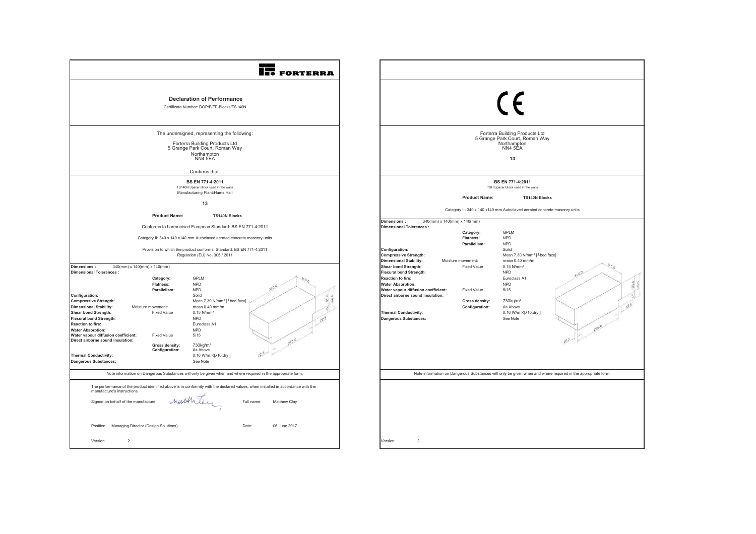